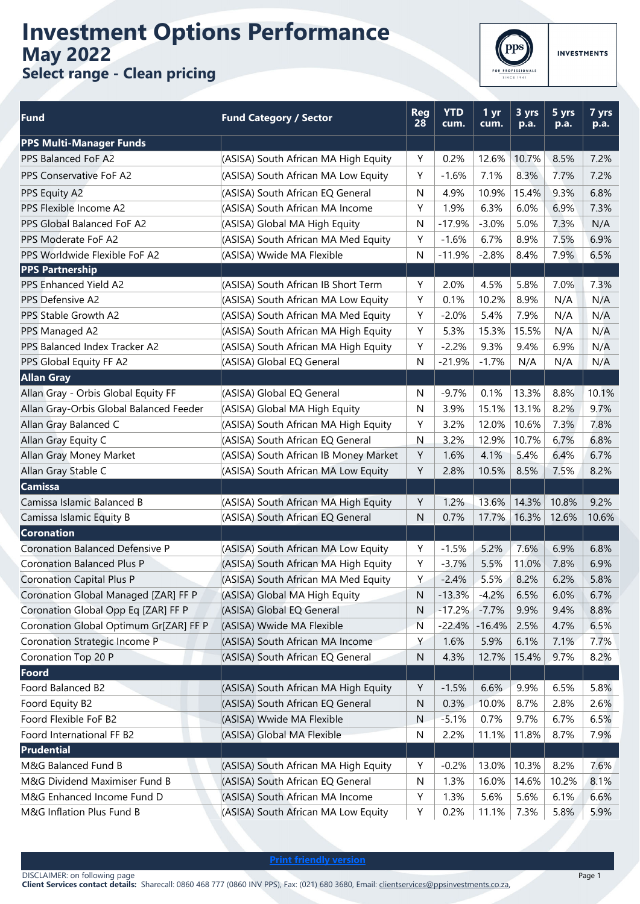## **Investment Options Performance May 2022 Select range - Clean pricing**



TS

| <b>INVESTMENT</b> |  |  |  |  |
|-------------------|--|--|--|--|
|                   |  |  |  |  |

| <b>Fund</b>                                                      | <b>Fund Category / Sector</b>         | <b>Reg</b><br>28 | <b>YTD</b><br>cum. | 1 yr<br>cum. | 3 yrs<br>$\overline{p.a.}$ | 5 yrs<br>p.a. | 7 yrs<br>p.a. |
|------------------------------------------------------------------|---------------------------------------|------------------|--------------------|--------------|----------------------------|---------------|---------------|
| <b>PPS Multi-Manager Funds</b>                                   |                                       |                  |                    |              |                            |               |               |
| PPS Balanced FoF A2                                              | (ASISA) South African MA High Equity  |                  | 0.2%               | 12.6%        | 10.7%                      | 8.5%          | 7.2%          |
| PPS Conservative FoF A2                                          | (ASISA) South African MA Low Equity   | Y                | $-1.6%$            | 7.1%         | 8.3%                       | 7.7%          | 7.2%          |
| PPS Equity A2                                                    | (ASISA) South African EQ General      | N                | 4.9%               | 10.9%        | 15.4%                      | 9.3%          | 6.8%          |
| PPS Flexible Income A2                                           | (ASISA) South African MA Income       | Y                | 1.9%               | 6.3%         | 6.0%                       | 6.9%          | 7.3%          |
| PPS Global Balanced FoF A2                                       | (ASISA) Global MA High Equity         | N                | $-17.9%$           | $-3.0%$      | 5.0%                       | 7.3%          | N/A           |
| PPS Moderate FoF A2                                              | (ASISA) South African MA Med Equity   | Y                | $-1.6%$            | 6.7%         | 8.9%                       | 7.5%          | 6.9%          |
| PPS Worldwide Flexible FoF A2                                    | (ASISA) Wwide MA Flexible             | N                | $-11.9%$           | $-2.8%$      | 8.4%                       | 7.9%          | 6.5%          |
| <b>PPS Partnership</b>                                           |                                       |                  |                    |              |                            |               |               |
| PPS Enhanced Yield A2                                            | (ASISA) South African IB Short Term   | Y                | 2.0%               | 4.5%         | 5.8%                       | 7.0%          | 7.3%          |
| PPS Defensive A2                                                 | (ASISA) South African MA Low Equity   | Υ                | 0.1%               | 10.2%        | 8.9%                       | N/A           | N/A           |
| PPS Stable Growth A2                                             | (ASISA) South African MA Med Equity   | Y                | $-2.0%$            | 5.4%         | 7.9%                       | N/A           | N/A           |
| PPS Managed A2                                                   | (ASISA) South African MA High Equity  | Υ                | 5.3%               | 15.3%        | 15.5%                      | N/A           | N/A           |
| PPS Balanced Index Tracker A2                                    | (ASISA) South African MA High Equity  | Y                | $-2.2%$            | 9.3%         | 9.4%                       | 6.9%          | N/A           |
| PPS Global Equity FF A2                                          | (ASISA) Global EQ General             | N                | $-21.9%$           | $-1.7%$      | N/A                        | N/A           | N/A           |
| <b>Allan Gray</b>                                                |                                       |                  |                    |              |                            |               |               |
| Allan Gray - Orbis Global Equity FF                              | (ASISA) Global EQ General             | N                | $-9.7%$            | 0.1%         | 13.3%                      | 8.8%          | 10.1%         |
| Allan Gray-Orbis Global Balanced Feeder                          | (ASISA) Global MA High Equity         | N                | 3.9%               | 15.1%        | 13.1%                      | 8.2%          | 9.7%          |
| Allan Gray Balanced C                                            | (ASISA) South African MA High Equity  | Y                | 3.2%               | 12.0%        | 10.6%                      | 7.3%          | 7.8%          |
| Allan Gray Equity C                                              | (ASISA) South African EQ General      | $\mathsf{N}$     | 3.2%               | 12.9%        | 10.7%                      | 6.7%          | 6.8%          |
| Allan Gray Money Market                                          | (ASISA) South African IB Money Market | Y                | 1.6%               | 4.1%         | 5.4%                       | 6.4%          | 6.7%          |
| Allan Gray Stable C                                              | (ASISA) South African MA Low Equity   | Υ                | 2.8%               | 10.5%        | 8.5%                       | 7.5%          | 8.2%          |
| <b>Camissa</b>                                                   |                                       |                  |                    |              |                            |               |               |
| Camissa Islamic Balanced B                                       | (ASISA) South African MA High Equity  | Y                | 1.2%               | 13.6%        | 14.3%                      | 10.8%         | 9.2%          |
| Camissa Islamic Equity B                                         | (ASISA) South African EQ General      | N                | 0.7%               | 17.7%        | 16.3%                      | 12.6%         | 10.6%         |
| <b>Coronation</b>                                                |                                       |                  |                    |              |                            |               |               |
| <b>Coronation Balanced Defensive P</b>                           | (ASISA) South African MA Low Equity   | Y                | $-1.5%$            | 5.2%         | 7.6%                       | 6.9%          | 6.8%          |
| <b>Coronation Balanced Plus P</b>                                | (ASISA) South African MA High Equity  | Y                | $-3.7%$            | 5.5%         | 11.0%                      | 7.8%          | 6.9%          |
| <b>Coronation Capital Plus P</b>                                 | (ASISA) South African MA Med Equity   | Y.               | $-2.4%$            | 5.5%         | 8.2%                       | 6.2%          | 5.8%          |
| Coronation Global Managed [ZAR] FF P                             | (ASISA) Global MA High Equity         | N                | $-13.3%$           | $-4.2%$      | 6.5%                       | 6.0%          | 6.7%          |
| Coronation Global Opp Eq [ZAR] FF P                              | (ASISA) Global EQ General             | N                | $-17.2%$           | $-7.7%$      | 9.9%                       | 9.4%          | 8.8%          |
| Coronation Global Optimum Gr[ZAR] FF P                           | (ASISA) Wwide MA Flexible             | N                | $-22.4%$           | $-16.4%$     | 2.5%                       | 4.7%          | 6.5%          |
| Coronation Strategic Income P                                    | (ASISA) South African MA Income       | Υ                | 1.6%               | 5.9%         | 6.1%                       | 7.1%          | 7.7%          |
| Coronation Top 20 P                                              | (ASISA) South African EQ General      | ${\sf N}$        | 4.3%               | 12.7%        | 15.4%                      | 9.7%          | 8.2%          |
| Foord                                                            |                                       |                  |                    |              |                            |               |               |
| Foord Balanced B2                                                | (ASISA) South African MA High Equity  | Υ                | $-1.5%$            | 6.6%         | 9.9%                       | 6.5%          | 5.8%          |
| Foord Equity B2                                                  | (ASISA) South African EQ General      | N                | 0.3%               | 10.0%        | 8.7%                       | 2.8%          | 2.6%          |
| Foord Flexible FoF B2                                            | (ASISA) Wwide MA Flexible             | N                | $-5.1%$            | 0.7%         | 9.7%                       | 6.7%          | 6.5%          |
| Foord International FF B2                                        | (ASISA) Global MA Flexible            | ${\sf N}$        | 2.2%               | 11.1%        | 11.8%                      | 8.7%          | 7.9%          |
| <b>Prudential</b>                                                |                                       |                  |                    |              |                            |               |               |
| M&G Balanced Fund B                                              | (ASISA) South African MA High Equity  | Υ                | $-0.2%$            | 13.0%        | 10.3%                      | 8.2%          | 7.6%          |
| M&G Dividend Maximiser Fund B                                    | (ASISA) South African EQ General      | N                | 1.3%               | 16.0%        | 14.6%                      | 10.2%         | 8.1%          |
| M&G Enhanced Income Fund D                                       | (ASISA) South African MA Income       | Υ                | 1.3%               | 5.6%         | 5.6%                       | 6.1%          | 6.6%          |
| M&G Inflation Plus Fund B<br>(ASISA) South African MA Low Equity |                                       | Υ                | 0.2%               | 11.1%        | 7.3%                       | 5.8%          | 5.9%          |